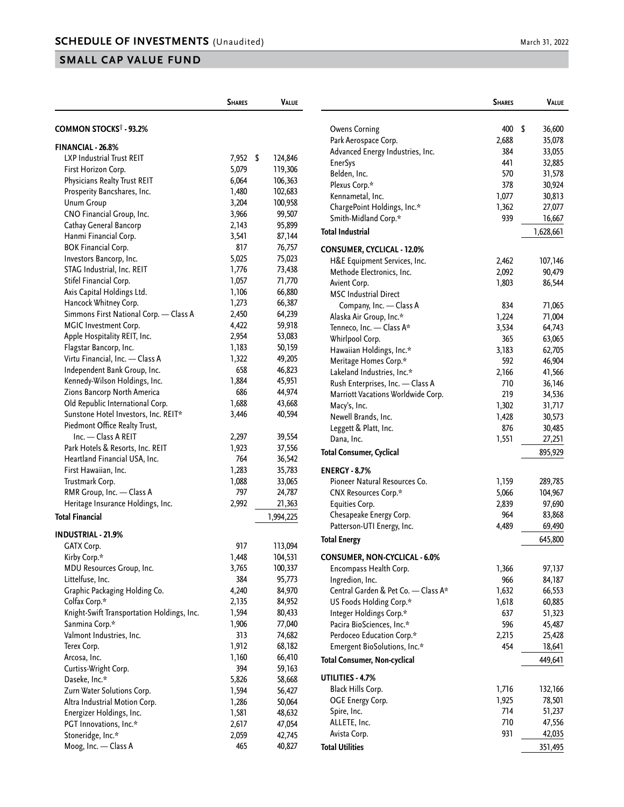## **SMALL CAP VALUE FUND**

|                                            | <b>SHARES</b> | VALUE         |
|--------------------------------------------|---------------|---------------|
|                                            |               |               |
| <b>COMMON STOCKS<sup>†</sup> - 93.2%</b>   |               |               |
| <b>FINANCIAL - 26.8%</b>                   |               |               |
| LXP Industrial Trust REIT                  | 7,952         | \$<br>124,846 |
| First Horizon Corp.                        | 5,079         | 119,306       |
| Physicians Realty Trust REIT               | 6,064         | 106,363       |
| Prosperity Bancshares, Inc.                | 1,480         | 102,683       |
| <b>Unum Group</b>                          | 3,204         | 100,958       |
| CNO Financial Group, Inc.                  | 3,966         | 99,507        |
| Cathay General Bancorp                     | 2,143         | 95,899        |
| Hanmi Financial Corp.                      | 3,541         | 87,144        |
| <b>BOK Financial Corp.</b>                 | 817           | 76,757        |
| Investors Bancorp, Inc.                    | 5,025         | 75,023        |
| STAG Industrial, Inc. REIT                 | 1,776         | 73,438        |
| Stifel Financial Corp.                     | 1,057         | 71,770        |
| Axis Capital Holdings Ltd.                 | 1,106         | 66,880        |
| Hancock Whitney Corp.                      | 1,273         | 66,387        |
| Simmons First National Corp. - Class A     | 2,450         | 64,239        |
| <b>MGIC Investment Corp.</b>               | 4,422         | 59,918        |
| Apple Hospitality REIT, Inc.               | 2,954         | 53,083        |
| Flagstar Bancorp, Inc.                     | 1,183         | 50,159        |
| Virtu Financial, Inc. - Class A            | 1,322         | 49,205        |
| Independent Bank Group, Inc.               | 658           | 46,823        |
| Kennedy-Wilson Holdings, Inc.              | 1,884         | 45,951        |
| Zions Bancorp North America                | 686           | 44,974        |
| Old Republic International Corp.           | 1,688         | 43,668        |
| Sunstone Hotel Investors, Inc. REIT*       | 3,446         | 40,594        |
| Piedmont Office Realty Trust,              |               |               |
| Inc. - Class A REIT                        | 2,297         | 39,554        |
| Park Hotels & Resorts, Inc. REIT           | 1,923         | 37,556        |
| Heartland Financial USA, Inc.              | 764           | 36,542        |
| First Hawaiian, Inc.                       | 1,283         | 35,783        |
| Trustmark Corp.                            | 1,088         | 33,065        |
| RMR Group, Inc. - Class A                  | 797           | 24,787        |
| Heritage Insurance Holdings, Inc.          | 2,992         | 21,363        |
| <b>Total Financial</b>                     |               | 1,994,225     |
| <b>INDUSTRIAL - 21.9%</b>                  |               |               |
| GATX Corp.                                 | 917           | 113,094       |
| Kirby Corp.*                               | 1,448         | 104,531       |
| MDU Resources Group, Inc.                  | 3,765         | 100,337       |
| Littelfuse, Inc.                           | 384           | 95,773        |
| Graphic Packaging Holding Co.              | 4,240         | 84,970        |
| Colfax Corp.*                              | 2,135         | 84,952        |
| Knight-Swift Transportation Holdings, Inc. | 1,594         | 80,433        |
| Sanmina Corp.*                             | 1,906         | 77,040        |
| Valmont Industries, Inc.                   | 313           | 74,682        |
| Terex Corp.                                | 1,912         | 68,182        |
| Arcosa, Inc.                               | 1,160         | 66,410        |
| Curtiss-Wright Corp.                       | 394           | 59,163        |
| Daseke, Inc.*                              | 5,826         | 58,668        |
| Zurn Water Solutions Corp.                 | 1,594         | 56,427        |
| Altra Industrial Motion Corp.              | 1,286         | 50,064        |
| Energizer Holdings, Inc.                   | 1,581         | 48,632        |
|                                            |               |               |
| PGT Innovations, Inc.*                     | 2,617         | 47,054        |
| Stoneridge, Inc.*<br>Moog, Inc. - Class A  | 2,059<br>465  | 42,745        |
|                                            |               | 40,827        |

|                                    | <b>SHARES</b> | Value        |
|------------------------------------|---------------|--------------|
|                                    |               |              |
| <b>Owens Corning</b>               | 400           | \$<br>36,600 |
| Park Aerospace Corp.               | 2,688         | 35,078       |
| Advanced Energy Industries, Inc.   | 384           | 33,055       |
| <b>EnerSys</b>                     | 441           | 32,885       |
| Belden, Inc.                       | 570           | 31,578       |
| Plexus Corp.*                      | 378           | 30,924       |
| Kennametal, Inc.                   | 1,077         | 30,813       |
| ChargePoint Holdings, Inc.*        | 1,362         | 27,077       |
| Smith-Midland Corp.*               | 939           | 16,667       |
| <b>Total Industrial</b>            |               | 1,628,661    |
| <b>CONSUMER, CYCLICAL - 12.0%</b>  |               |              |
| H&E Equipment Services, Inc.       | 2,462         | 107,146      |
| Methode Electronics, Inc.          | 2,092         | 90,479       |
| Avient Corp.                       | 1,803         | 86,544       |
| <b>MSC Industrial Direct</b>       |               |              |
| Company, Inc. - Class A            | 834           | 71,065       |
| Alaska Air Group, Inc.*            | 1,224         | 71,004       |
| Tenneco, Inc. - Class A*           | 3,534         | 64,743       |
| Whirlpool Corp.                    | 365           | 63,065       |
| Hawaiian Holdings, Inc.*           | 3,183         | 62,705       |
| Meritage Homes Corp.*              | 592           | 46,904       |
| Lakeland Industries, Inc.*         | 2,166         | 41,566       |
| Rush Enterprises, Inc. - Class A   | 710           | 36,146       |
| Marriott Vacations Worldwide Corp. | 219           | 34,536       |
| Macy's, Inc.                       | 1,302         | 31,717       |
| Newell Brands, Inc.                | 1,428         | 30,573       |
| Leggett & Platt, Inc.              | 876           | 30,485       |
| Dana, Inc.                         | 1,551         | 27,251       |
| <b>Total Consumer, Cyclical</b>    |               | 895,929      |
| <b>ENERGY - 8.7%</b>               |               |              |
| Pioneer Natural Resources Co.      | 1,159         | 289,785      |
| CNX Resources Corp.*               | 5,066         | 104,967      |
| Equities Corp.                     | 2,839         | 97,690       |
| Chesapeake Energy Corp.            | 964           | 83,868       |
| Patterson-UTI Energy, Inc.         | 4,489         | 69,490       |
| <b>Total Energy</b>                |               | 645,800      |
|                                    |               |              |

**CONSUMER, NON-CYCLICAL - 6.0%**

| Encompass Health Corp.              | 1,366 | 97,137  |
|-------------------------------------|-------|---------|
| Ingredion, Inc.                     | 966   | 84,187  |
| Central Garden & Pet Co. - Class A* | 1,632 | 66,553  |
| US Foods Holding Corp.*             | 1,618 | 60,885  |
| Integer Holdings Corp.*             | 637   | 51,323  |
| Pacira BioSciences, Inc.*           | 596   | 45,487  |
| Perdoceo Education Corp.*           | 2,215 | 25,428  |
| Emergent BioSolutions, Inc.*        | 454   | 18,641  |
| <b>Total Consumer, Non-cyclical</b> |       | 449,641 |
| UTILITIES - 4.7%                    |       |         |
| Black Hills Corp.                   | 1,716 | 132,166 |
| OGE Energy Corp.                    | 1,925 | 78,501  |
| Spire, Inc.                         | 714   | 51,237  |
| ALLETE, Inc.                        | 710   | 47,556  |
| Avista Corp.                        | 931   | 42,035  |
| <b>Total Utilities</b>              |       | 351,495 |